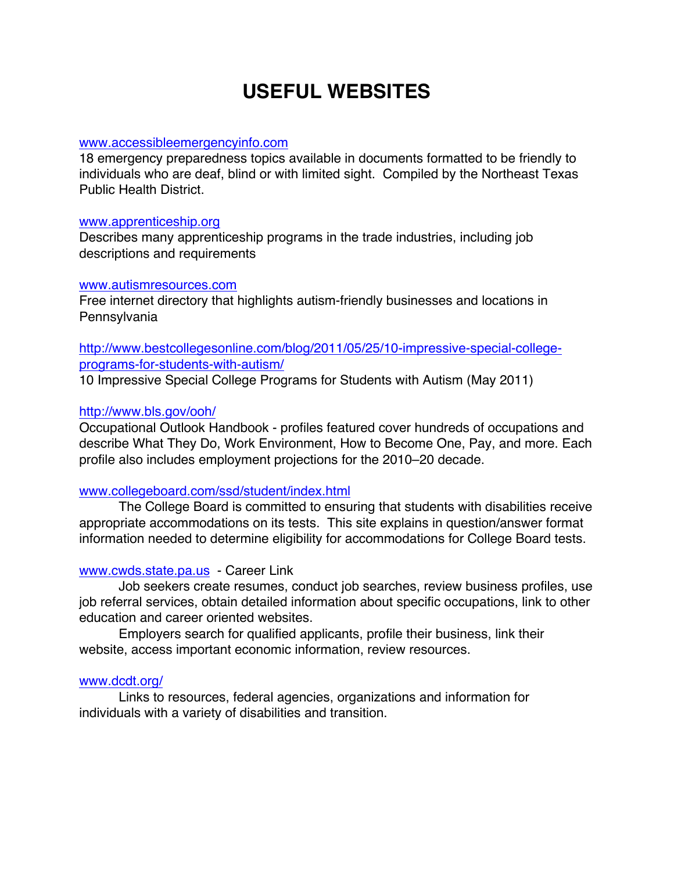# **USEFUL WEBSITES**

## www.accessibleemergencyinfo.com

18 emergency preparedness topics available in documents formatted to be friendly to individuals who are deaf, blind or with limited sight. Compiled by the Northeast Texas Public Health District.

## www.apprenticeship.org

Describes many apprenticeship programs in the trade industries, including job descriptions and requirements

## www.autismresources.com

Free internet directory that highlights autism-friendly businesses and locations in **Pennsylvania** 

http://www.bestcollegesonline.com/blog/2011/05/25/10-impressive-special-collegeprograms-for-students-with-autism/

10 Impressive Special College Programs for Students with Autism (May 2011)

## http://www.bls.gov/ooh/

Occupational Outlook Handbook - profiles featured cover hundreds of occupations and describe What They Do, Work Environment, How to Become One, Pay, and more. Each profile also includes employment projections for the 2010–20 decade.

## www.collegeboard.com/ssd/student/index.html

The College Board is committed to ensuring that students with disabilities receive appropriate accommodations on its tests. This site explains in question/answer format information needed to determine eligibility for accommodations for College Board tests.

# www.cwds.state.pa.us - Career Link

Job seekers create resumes, conduct job searches, review business profiles, use job referral services, obtain detailed information about specific occupations, link to other education and career oriented websites.

Employers search for qualified applicants, profile their business, link their website, access important economic information, review resources.

## www.dcdt.org/

Links to resources, federal agencies, organizations and information for individuals with a variety of disabilities and transition.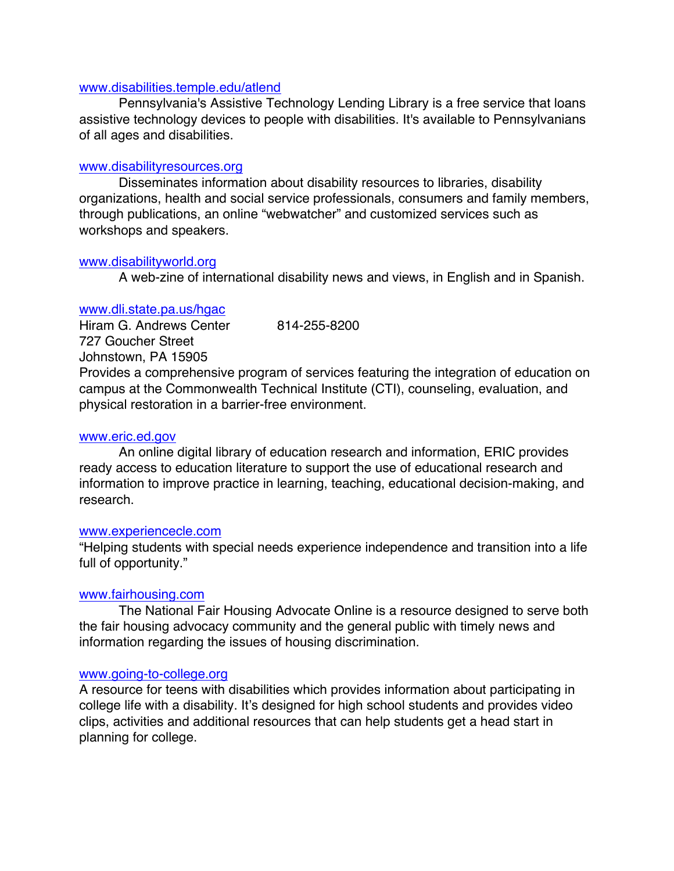## www.disabilities.temple.edu/atlend

Pennsylvania's Assistive Technology Lending Library is a free service that loans assistive technology devices to people with disabilities. It's available to Pennsylvanians of all ages and disabilities.

## www.disabilityresources.org

Disseminates information about disability resources to libraries, disability organizations, health and social service professionals, consumers and family members, through publications, an online "webwatcher" and customized services such as workshops and speakers.

## www.disabilityworld.org

A web-zine of international disability news and views, in English and in Spanish.

## www.dli.state.pa.us/hgac

Hiram G. Andrews Center 814-255-8200 727 Goucher Street Johnstown, PA 15905 Provides a comprehensive program of services featuring the integration of education on campus at the Commonwealth Technical Institute (CTI), counseling, evaluation, and physical restoration in a barrier-free environment.

## www.eric.ed.gov

An online digital library of education research and information, ERIC provides ready access to education literature to support the use of educational research and information to improve practice in learning, teaching, educational decision-making, and research.

#### www.experiencecle.com

"Helping students with special needs experience independence and transition into a life full of opportunity."

## www.fairhousing.com

The National Fair Housing Advocate Online is a resource designed to serve both the fair housing advocacy community and the general public with timely news and information regarding the issues of housing discrimination.

## www.going-to-college.org

A resource for teens with disabilities which provides information about participating in college life with a disability. It's designed for high school students and provides video clips, activities and additional resources that can help students get a head start in planning for college.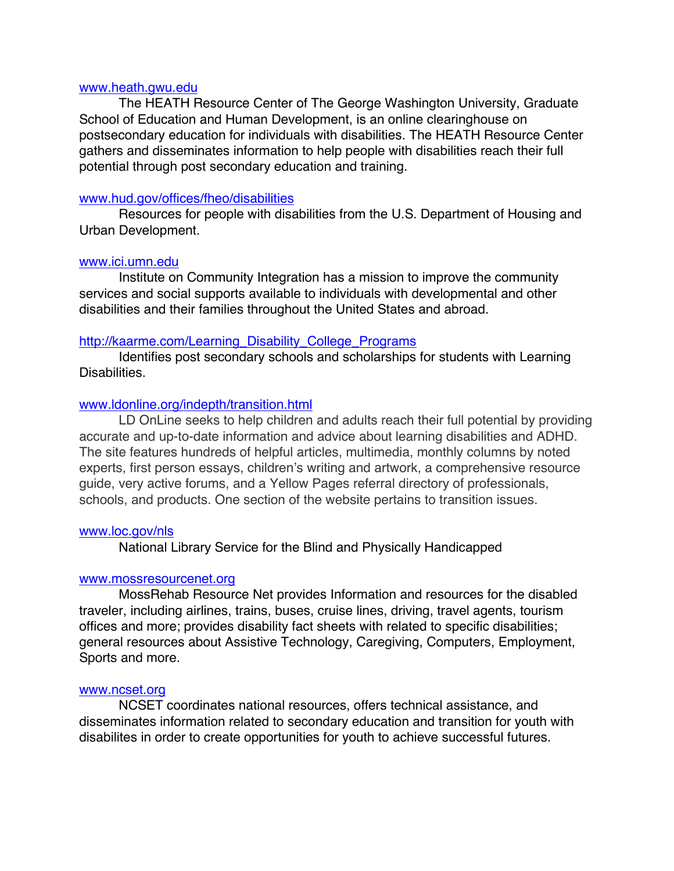#### www.heath.gwu.edu

The HEATH Resource Center of The George Washington University, Graduate School of Education and Human Development, is an online clearinghouse on postsecondary education for individuals with disabilities. The HEATH Resource Center gathers and disseminates information to help people with disabilities reach their full potential through post secondary education and training.

## www.hud.gov/offices/fheo/disabilities

Resources for people with disabilities from the U.S. Department of Housing and Urban Development.

#### www.ici.umn.edu

Institute on Community Integration has a mission to improve the community services and social supports available to individuals with developmental and other disabilities and their families throughout the United States and abroad.

## http://kaarme.com/Learning\_Disability\_College\_Programs

Identifies post secondary schools and scholarships for students with Learning Disabilities.

## www.ldonline.org/indepth/transition.html

LD OnLine seeks to help children and adults reach their full potential by providing accurate and up-to-date information and advice about learning disabilities and ADHD. The site features hundreds of helpful articles, multimedia, monthly columns by noted experts, first person essays, children's writing and artwork, a comprehensive resource guide, very active forums, and a Yellow Pages referral directory of professionals, schools, and products. One section of the website pertains to transition issues.

#### www.loc.gov/nls

National Library Service for the Blind and Physically Handicapped

## www.mossresourcenet.org

MossRehab Resource Net provides Information and resources for the disabled traveler, including airlines, trains, buses, cruise lines, driving, travel agents, tourism offices and more; provides disability fact sheets with related to specific disabilities; general resources about Assistive Technology, Caregiving, Computers, Employment, Sports and more.

#### www.ncset.org

NCSET coordinates national resources, offers technical assistance, and disseminates information related to secondary education and transition for youth with disabilites in order to create opportunities for youth to achieve successful futures.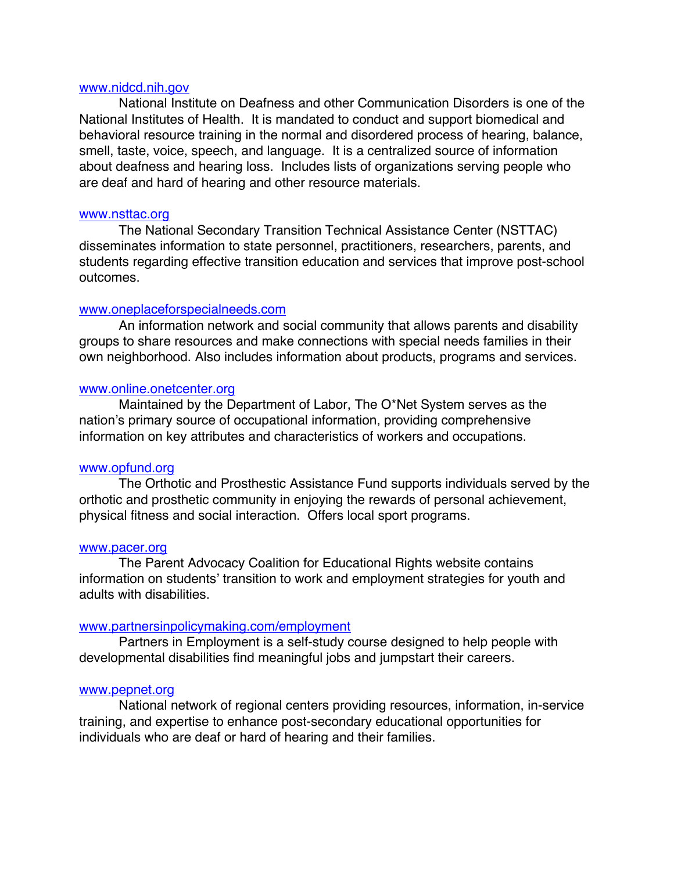#### www.nidcd.nih.gov

National Institute on Deafness and other Communication Disorders is one of the National Institutes of Health. It is mandated to conduct and support biomedical and behavioral resource training in the normal and disordered process of hearing, balance, smell, taste, voice, speech, and language. It is a centralized source of information about deafness and hearing loss. Includes lists of organizations serving people who are deaf and hard of hearing and other resource materials.

#### www.nsttac.org

The National Secondary Transition Technical Assistance Center (NSTTAC) disseminates information to state personnel, practitioners, researchers, parents, and students regarding effective transition education and services that improve post-school outcomes.

#### www.oneplaceforspecialneeds.com

An information network and social community that allows parents and disability groups to share resources and make connections with special needs families in their own neighborhood. Also includes information about products, programs and services.

#### www.online.onetcenter.org

Maintained by the Department of Labor, The O\*Net System serves as the nation's primary source of occupational information, providing comprehensive information on key attributes and characteristics of workers and occupations.

#### www.opfund.org

The Orthotic and Prosthestic Assistance Fund supports individuals served by the orthotic and prosthetic community in enjoying the rewards of personal achievement, physical fitness and social interaction. Offers local sport programs.

#### www.pacer.org

The Parent Advocacy Coalition for Educational Rights website contains information on students' transition to work and employment strategies for youth and adults with disabilities.

#### www.partnersinpolicymaking.com/employment

Partners in Employment is a self-study course designed to help people with developmental disabilities find meaningful jobs and jumpstart their careers.

#### www.pepnet.org

National network of regional centers providing resources, information, in-service training, and expertise to enhance post-secondary educational opportunities for individuals who are deaf or hard of hearing and their families.